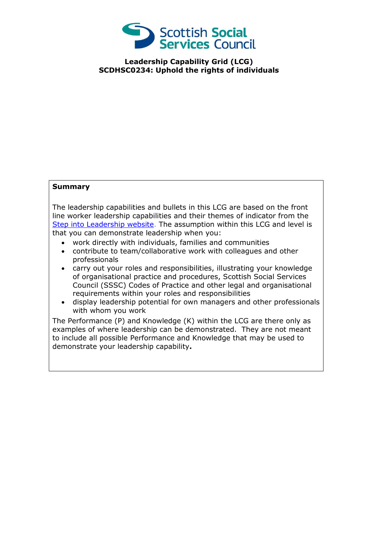

**Leadership Capability Grid (LCG) SCDHSC0234: Uphold the rights of individuals**

## **Summary**

The leadership capabilities and bullets in this LCG are based on the front line worker leadership capabilities and their themes of indicator from the [Step into Leadership website.](http://www.stepintoleadership.info/) The assumption within this LCG and level is that you can demonstrate leadership when you:

- work directly with individuals, families and communities
- contribute to team/collaborative work with colleagues and other professionals
- carry out your roles and responsibilities, illustrating your knowledge of organisational practice and procedures, Scottish Social Services Council (SSSC) Codes of Practice and other legal and organisational requirements within your roles and responsibilities
- display leadership potential for own managers and other professionals with whom you work

The Performance (P) and Knowledge (K) within the LCG are there only as examples of where leadership can be demonstrated. They are not meant to include all possible Performance and Knowledge that may be used to demonstrate your leadership capability**.**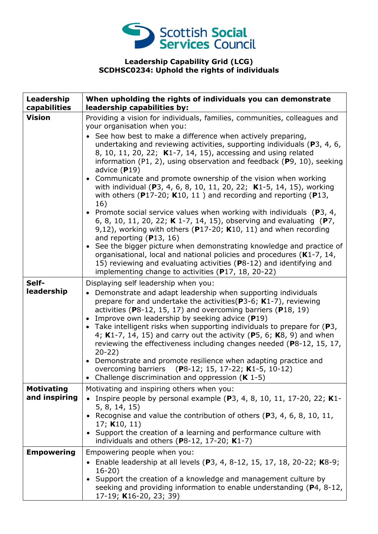

## **Leadership Capability Grid (LCG) SCDHSC0234: Uphold the rights of individuals**

| Leadership<br>capabilities         | When upholding the rights of individuals you can demonstrate<br>leadership capabilities by:                                                                                                                                                                                                                                                                                                                                                                                                                                                                                                                                                                                                                                                                                                                                                                                                                                                                                     |
|------------------------------------|---------------------------------------------------------------------------------------------------------------------------------------------------------------------------------------------------------------------------------------------------------------------------------------------------------------------------------------------------------------------------------------------------------------------------------------------------------------------------------------------------------------------------------------------------------------------------------------------------------------------------------------------------------------------------------------------------------------------------------------------------------------------------------------------------------------------------------------------------------------------------------------------------------------------------------------------------------------------------------|
| <b>Vision</b>                      | Providing a vision for individuals, families, communities, colleagues and<br>your organisation when you:<br>See how best to make a difference when actively preparing,<br>undertaking and reviewing activities, supporting individuals ( $P_3$ , 4, 6,<br>8, 10, 11, 20, 22; K1-7, 14, 15), accessing and using related<br>information (P1, 2), using observation and feedback (P9, 10), seeking<br>advice $(P19)$<br>• Communicate and promote ownership of the vision when working<br>with individual (P3, 4, 6, 8, 10, 11, 20, 22; K1-5, 14, 15), working<br>with others ( $P17-20$ ; K10, 11) and recording and reporting ( $P13$ ,<br>16)<br>• Promote social service values when working with individuals ( $P3$ , 4,<br>6, 8, 10, 11, 20, 22; K 1-7, 14, 15), observing and evaluating (P7,<br>9,12), working with others ( $P17-20$ ; K10, 11) and when recording<br>and reporting $(P13, 16)$<br>• See the bigger picture when demonstrating knowledge and practice of |
|                                    | organisational, local and national policies and procedures (K1-7, 14,<br>15) reviewing and evaluating activities (P8-12) and identifying and<br>implementing change to activities (P17, 18, 20-22)                                                                                                                                                                                                                                                                                                                                                                                                                                                                                                                                                                                                                                                                                                                                                                              |
| Self-<br>leadership                | Displaying self leadership when you:<br>Demonstrate and adapt leadership when supporting individuals<br>$\bullet$<br>prepare for and undertake the activities ( $P3-6$ ; K1-7), reviewing<br>activities ( $P8-12$ , 15, 17) and overcoming barriers ( $P18$ , 19)<br>Improve own leadership by seeking advice (P19)<br>• Take intelligent risks when supporting individuals to prepare for $(P3,$<br>4; K1-7, 14, 15) and carry out the activity (P5, 6; K8, 9) and when<br>reviewing the effectiveness including changes needed (P8-12, 15, 17,<br>$20 - 22$<br>• Demonstrate and promote resilience when adapting practice and<br>overcoming barriers (P8-12; 15, 17-22; K1-5, 10-12)<br>Challenge discrimination and oppression $(K 1-5)$                                                                                                                                                                                                                                    |
| <b>Motivating</b><br>and inspiring | Motivating and inspiring others when you:<br>• Inspire people by personal example (P3, 4, 8, 10, 11, 17-20, 22; K1-<br>5, 8, 14, 15)<br>• Recognise and value the contribution of others (P3, 4, 6, 8, 10, 11,<br>17; $K10, 11$<br>• Support the creation of a learning and performance culture with<br>individuals and others ( $P8-12$ , 17-20; $K1-7$ )                                                                                                                                                                                                                                                                                                                                                                                                                                                                                                                                                                                                                      |
| <b>Empowering</b>                  | Empowering people when you:<br>• Enable leadership at all levels (P3, 4, 8-12, 15, 17, 18, 20-22; K8-9;<br>$16-20$<br>• Support the creation of a knowledge and management culture by<br>seeking and providing information to enable understanding (P4, 8-12,<br>17-19; K16-20, 23; 39)                                                                                                                                                                                                                                                                                                                                                                                                                                                                                                                                                                                                                                                                                         |